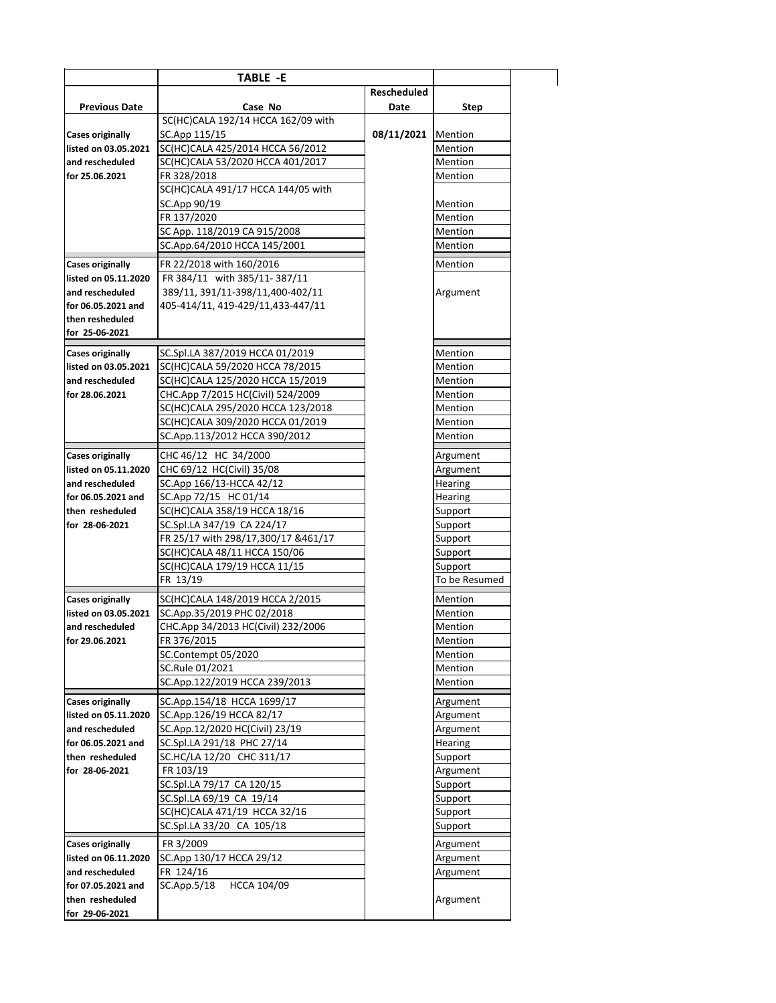|                                   | TABLE -E                                                               |             |                    |
|-----------------------------------|------------------------------------------------------------------------|-------------|--------------------|
|                                   |                                                                        | Rescheduled |                    |
| <b>Previous Date</b>              | Case No                                                                | Date        | <b>Step</b>        |
|                                   | SC(HC)CALA 192/14 HCCA 162/09 with                                     |             |                    |
| <b>Cases originally</b>           | SC.App 115/15                                                          | 08/11/2021  | Mention            |
| listed on 03.05.2021              | SC(HC)CALA 425/2014 HCCA 56/2012                                       |             | Mention            |
| and rescheduled                   | SC(HC)CALA 53/2020 HCCA 401/2017                                       |             | <b>Mention</b>     |
| for 25.06.2021                    | FR 328/2018                                                            |             | Mention            |
|                                   | SC(HC)CALA 491/17 HCCA 144/05 with                                     |             |                    |
|                                   | SC.App 90/19                                                           |             | Mention            |
|                                   | FR 137/2020                                                            |             | Mention            |
|                                   | SC App. 118/2019 CA 915/2008                                           |             | Mention            |
|                                   | SC.App.64/2010 HCCA 145/2001                                           |             | Mention            |
| <b>Cases originally</b>           | FR 22/2018 with 160/2016                                               |             | Mention            |
| listed on 05.11.2020              | FR 384/11 with 385/11-387/11                                           |             |                    |
| and rescheduled                   | 389/11, 391/11-398/11,400-402/11                                       |             | Argument           |
| for 06.05.2021 and                | 405-414/11, 419-429/11, 433-447/11                                     |             |                    |
| then resheduled                   |                                                                        |             |                    |
| for 25-06-2021                    |                                                                        |             |                    |
|                                   |                                                                        |             |                    |
| <b>Cases originally</b>           | SC.Spl.LA 387/2019 HCCA 01/2019                                        |             | Mention            |
| listed on 03.05.2021              | SC(HC)CALA 59/2020 HCCA 78/2015                                        |             | Mention            |
| and rescheduled<br>for 28.06.2021 | SC(HC)CALA 125/2020 HCCA 15/2019                                       |             | Mention            |
|                                   | CHC.App 7/2015 HC(Civil) 524/2009<br>SC(HC)CALA 295/2020 HCCA 123/2018 |             | Mention<br>Mention |
|                                   | SC(HC)CALA 309/2020 HCCA 01/2019                                       |             | Mention            |
|                                   | SC.App.113/2012 HCCA 390/2012                                          |             | Mention            |
|                                   |                                                                        |             |                    |
| <b>Cases originally</b>           | CHC 46/12 HC 34/2000                                                   |             | Argument           |
| listed on 05.11.2020              | CHC 69/12 HC(Civil) 35/08                                              |             | Argument           |
| and rescheduled                   | SC.App 166/13-HCCA 42/12                                               |             | Hearing            |
| for 06.05.2021 and                | SC.App 72/15 HC 01/14                                                  |             | <b>Hearing</b>     |
| then resheduled                   | SC(HC)CALA 358/19 HCCA 18/16                                           |             | Support            |
| for 28-06-2021                    | SC.Spl.LA 347/19 CA 224/17                                             |             | Support            |
|                                   | FR 25/17 with 298/17,300/17 &461/17                                    |             | Support            |
|                                   | SC(HC)CALA 48/11 HCCA 150/06                                           |             | Support            |
|                                   | SC(HC)CALA 179/19 HCCA 11/15                                           |             | Support            |
|                                   | FR 13/19                                                               |             | To be Resumed      |
| <b>Cases originally</b>           | SC(HC)CALA 148/2019 HCCA 2/2015                                        |             | Mention            |
| listed on 03.05.2021              | SC.App.35/2019 PHC 02/2018                                             |             | <b>Mention</b>     |
| and rescheduled                   | CHC.App 34/2013 HC(Civil) 232/2006                                     |             | Mention            |
| for 29.06.2021                    | FR 376/2015                                                            |             | Mention            |
|                                   | SC.Contempt 05/2020                                                    |             | Mention            |
|                                   | SC.Rule 01/2021                                                        |             | Mention            |
|                                   | SC.App.122/2019 HCCA 239/2013                                          |             | Mention            |
| <b>Cases originally</b>           | SC.App.154/18 HCCA 1699/17                                             |             | Argument           |
| listed on 05.11.2020              | SC.App.126/19 HCCA 82/17                                               |             | Argument           |
| and rescheduled                   | SC.App.12/2020 HC(Civil) 23/19                                         |             | Argument           |
| for 06.05.2021 and                | SC.Spl.LA 291/18 PHC 27/14                                             |             | Hearing            |
| then resheduled                   | SC.HC/LA 12/20 CHC 311/17                                              |             | Support            |
| for 28-06-2021                    | FR 103/19                                                              |             | Argument           |
|                                   | SC.Spl.LA 79/17 CA 120/15                                              |             | Support            |
|                                   | SC.Spl.LA 69/19 CA 19/14                                               |             | Support            |
|                                   | SC(HC)CALA 471/19 HCCA 32/16                                           |             | Support            |
|                                   | SC.Spl.LA 33/20 CA 105/18                                              |             | Support            |
| <b>Cases originally</b>           | FR 3/2009                                                              |             | Argument           |
| listed on 06.11.2020              | SC.App 130/17 HCCA 29/12                                               |             | Argument           |
| and rescheduled                   | FR 124/16                                                              |             | Argument           |
| for 07.05.2021 and                | SC.App.5/18<br>HCCA 104/09                                             |             |                    |
| then resheduled                   |                                                                        |             | Argument           |
| for 29-06-2021                    |                                                                        |             |                    |
|                                   |                                                                        |             |                    |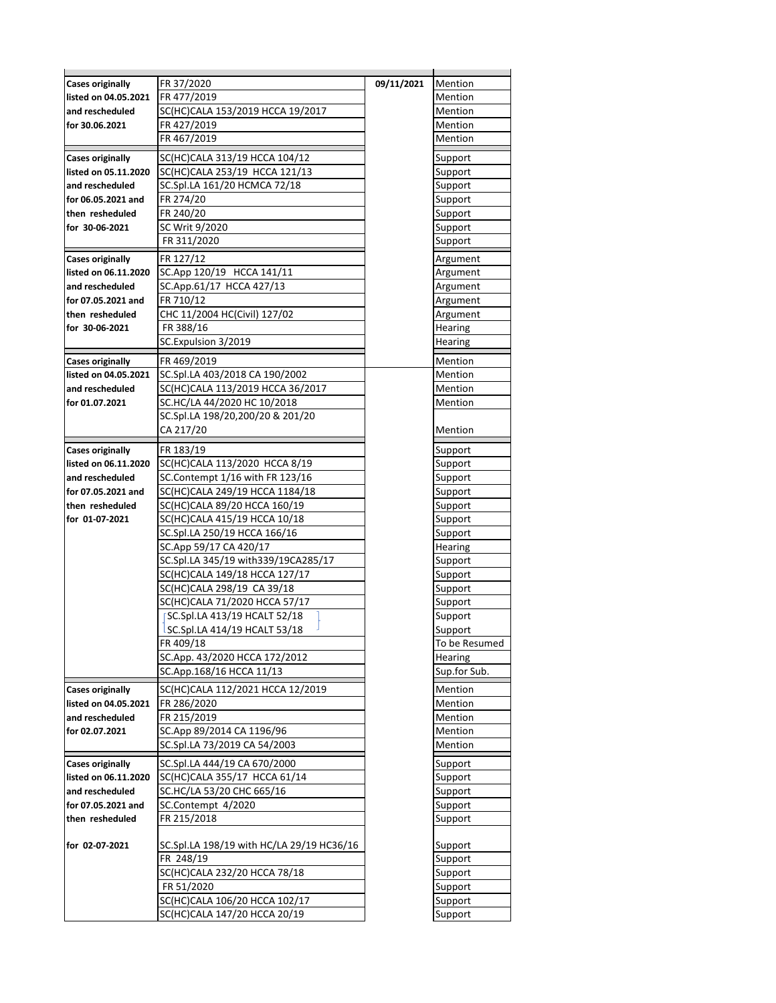| <b>Cases originally</b> | FR 37/2020                                                   | 09/11/2021 | Mention                  |
|-------------------------|--------------------------------------------------------------|------------|--------------------------|
| listed on 04.05.2021    | FR 477/2019                                                  |            | Mention                  |
| and rescheduled         | SC(HC)CALA 153/2019 HCCA 19/2017                             |            | Mention                  |
| for 30.06.2021          | FR 427/2019                                                  |            | Mention                  |
|                         | FR 467/2019                                                  |            | Mention                  |
| <b>Cases originally</b> | SC(HC)CALA 313/19 HCCA 104/12                                |            | Support                  |
| listed on 05.11.2020    | SC(HC)CALA 253/19 HCCA 121/13                                |            | Support                  |
| and rescheduled         | SC.Spl.LA 161/20 HCMCA 72/18                                 |            | Support                  |
| for 06.05.2021 and      | FR 274/20                                                    |            | Support                  |
| then resheduled         | FR 240/20                                                    |            | Support                  |
| for 30-06-2021          | SC Writ 9/2020                                               |            | Support                  |
|                         | FR 311/2020                                                  |            | Support                  |
| <b>Cases originally</b> | FR 127/12                                                    |            | Argument                 |
| listed on 06.11.2020    | SC.App 120/19 HCCA 141/11                                    |            | Argument                 |
| and rescheduled         | SC.App.61/17 HCCA 427/13                                     |            | Argument                 |
| for 07.05.2021 and      | FR 710/12                                                    |            | Argument                 |
| then resheduled         | CHC 11/2004 HC(Civil) 127/02                                 |            | Argument                 |
| for 30-06-2021          | FR 388/16                                                    |            | Hearing                  |
|                         | SC.Expulsion 3/2019                                          |            | Hearing                  |
| <b>Cases originally</b> | FR 469/2019                                                  |            | Mention                  |
| listed on 04.05.2021    | SC.Spl.LA 403/2018 CA 190/2002                               |            | Mention                  |
| and rescheduled         | SC(HC)CALA 113/2019 HCCA 36/2017                             |            | Mention                  |
| for 01.07.2021          | SC.HC/LA 44/2020 HC 10/2018                                  |            | Mention                  |
|                         | SC.Spl.LA 198/20,200/20 & 201/20                             |            |                          |
|                         | CA 217/20                                                    |            | Mention                  |
| <b>Cases originally</b> | FR 183/19                                                    |            | Support                  |
| listed on 06.11.2020    | SC(HC)CALA 113/2020 HCCA 8/19                                |            | Support                  |
| and rescheduled         | SC.Contempt 1/16 with FR 123/16                              |            | Support                  |
| for 07.05.2021 and      | SC(HC)CALA 249/19 HCCA 1184/18                               |            | Support                  |
| then resheduled         | SC(HC)CALA 89/20 HCCA 160/19                                 |            | Support                  |
| for 01-07-2021          | SC(HC)CALA 415/19 HCCA 10/18                                 |            | Support                  |
|                         | SC.Spl.LA 250/19 HCCA 166/16                                 |            | Support                  |
|                         | SC.App 59/17 CA 420/17                                       |            | Hearing                  |
|                         | SC.Spl.LA 345/19 with339/19CA285/17                          |            | Support                  |
|                         | SC(HC)CALA 149/18 HCCA 127/17                                |            | Support                  |
|                         | SC(HC)CALA 298/19 CA 39/18                                   |            | Support                  |
|                         | SC(HC)CALA 71/2020 HCCA 57/17                                |            | Support                  |
|                         | SC.Spl.LA 413/19 HCALT 52/18<br>SC.Spl.LA 414/19 HCALT 53/18 |            | Support                  |
|                         | FR 409/18                                                    |            | Support<br>To be Resumed |
|                         | SC.App. 43/2020 HCCA 172/2012                                |            | Hearing                  |
|                         | SC.App.168/16 HCCA 11/13                                     |            | Sup.for Sub.             |
|                         |                                                              |            |                          |
| <b>Cases originally</b> | SC(HC)CALA 112/2021 HCCA 12/2019                             |            | Mention                  |
| listed on 04.05.2021    | FR 286/2020                                                  |            | Mention                  |
| and rescheduled         | FR 215/2019                                                  |            | Mention                  |
| for 02.07.2021          | SC.App 89/2014 CA 1196/96<br>SC.Spl.LA 73/2019 CA 54/2003    |            | Mention<br>Mention       |
|                         |                                                              |            |                          |
| <b>Cases originally</b> | SC.Spl.LA 444/19 CA 670/2000                                 |            | Support                  |
| listed on 06.11.2020    | SC(HC)CALA 355/17 HCCA 61/14                                 |            | Support                  |
| and rescheduled         | SC.HC/LA 53/20 CHC 665/16                                    |            | Support                  |
| for 07.05.2021 and      | SC.Contempt 4/2020                                           |            | Support                  |
| then resheduled         | FR 215/2018                                                  |            | Support                  |
| for 02-07-2021          | SC.Spl.LA 198/19 with HC/LA 29/19 HC36/16                    |            | Support                  |
|                         | FR 248/19                                                    |            | Support                  |
|                         | SC(HC)CALA 232/20 HCCA 78/18                                 |            | Support                  |
|                         | FR 51/2020                                                   |            | Support                  |
|                         | SC(HC)CALA 106/20 HCCA 102/17                                |            | Support                  |
|                         | SC(HC)CALA 147/20 HCCA 20/19                                 |            | Support                  |
|                         |                                                              |            |                          |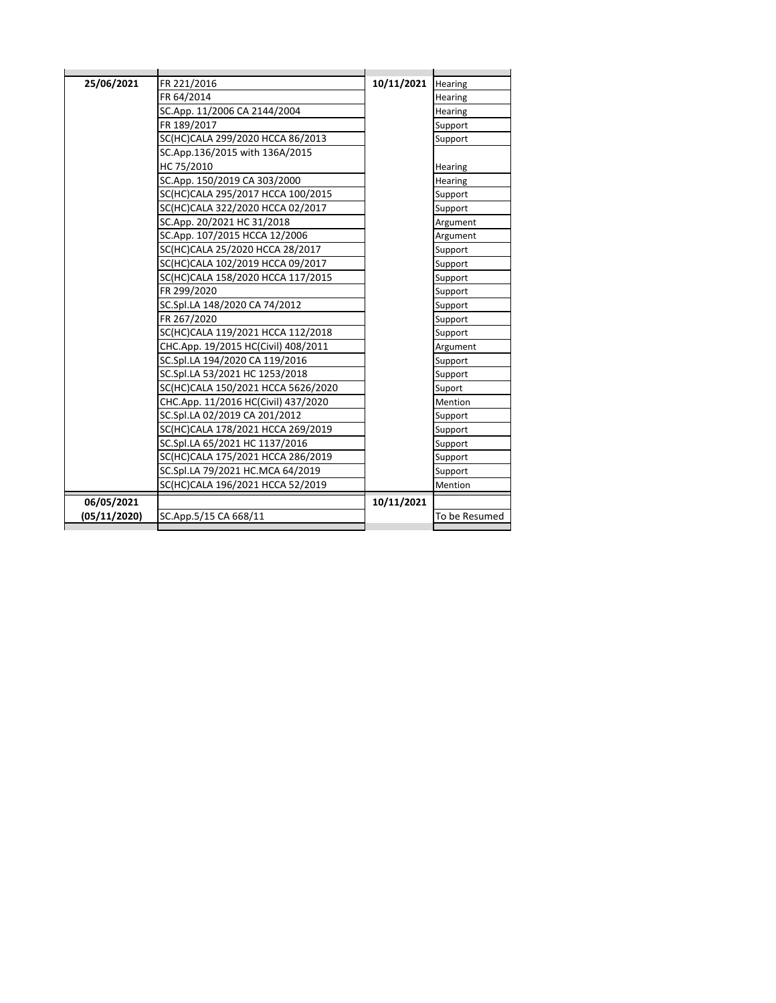| 25/06/2021   | FR 221/2016                         | 10/11/2021 | Hearing        |
|--------------|-------------------------------------|------------|----------------|
|              | FR 64/2014                          |            | Hearing        |
|              | SC.App. 11/2006 CA 2144/2004        |            | Hearing        |
|              | FR 189/2017                         |            | Support        |
|              | SC(HC)CALA 299/2020 HCCA 86/2013    |            | Support        |
|              | SC.App.136/2015 with 136A/2015      |            |                |
|              | HC 75/2010                          |            | Hearing        |
|              | SC.App. 150/2019 CA 303/2000        |            | Hearing        |
|              | SC(HC)CALA 295/2017 HCCA 100/2015   |            | Support        |
|              | SC(HC)CALA 322/2020 HCCA 02/2017    |            | Support        |
|              | SC.App. 20/2021 HC 31/2018          |            | Argument       |
|              | SC.App. 107/2015 HCCA 12/2006       |            | Argument       |
|              | SC(HC)CALA 25/2020 HCCA 28/2017     |            | Support        |
|              | SC(HC)CALA 102/2019 HCCA 09/2017    |            | Support        |
|              | SC(HC)CALA 158/2020 HCCA 117/2015   |            | Support        |
|              | FR 299/2020                         |            | Support        |
|              | SC.Spl.LA 148/2020 CA 74/2012       |            | Support        |
|              | FR 267/2020                         |            | Support        |
|              | SC(HC)CALA 119/2021 HCCA 112/2018   |            | Support        |
|              | CHC.App. 19/2015 HC(Civil) 408/2011 |            | Argument       |
|              | SC.Spl.LA 194/2020 CA 119/2016      |            | Support        |
|              | SC.Spl.LA 53/2021 HC 1253/2018      |            | Support        |
|              | SC(HC)CALA 150/2021 HCCA 5626/2020  |            | Suport         |
|              | CHC.App. 11/2016 HC(Civil) 437/2020 |            | <b>Mention</b> |
|              | SC.Spl.LA 02/2019 CA 201/2012       |            | Support        |
|              | SC(HC)CALA 178/2021 HCCA 269/2019   |            | Support        |
|              | SC.Spl.LA 65/2021 HC 1137/2016      |            | Support        |
|              | SC(HC)CALA 175/2021 HCCA 286/2019   |            | Support        |
|              | SC.Spl.LA 79/2021 HC.MCA 64/2019    |            | Support        |
|              | SC(HC)CALA 196/2021 HCCA 52/2019    |            | Mention        |
| 06/05/2021   |                                     | 10/11/2021 |                |
| (05/11/2020) | SC.App.5/15 CA 668/11               |            | To be Resumed  |
|              |                                     |            |                |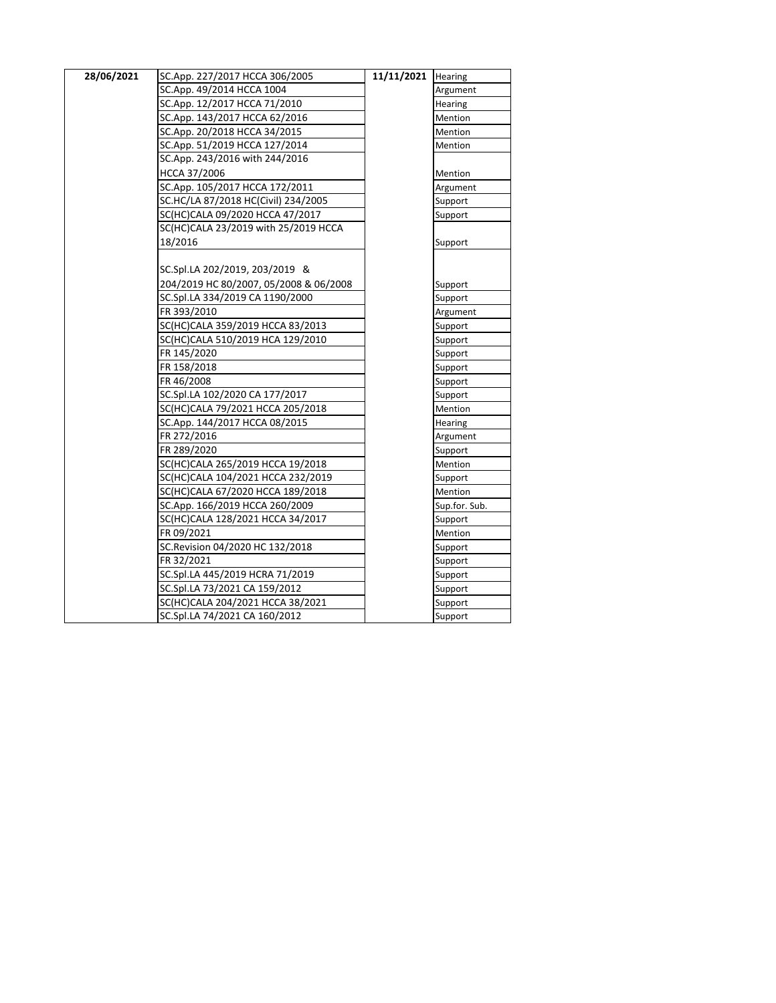| 28/06/2021 | SC.App. 227/2017 HCCA 306/2005         | 11/11/2021 | Hearing       |
|------------|----------------------------------------|------------|---------------|
|            | SC.App. 49/2014 HCCA 1004              |            | Argument      |
|            | SC.App. 12/2017 HCCA 71/2010           |            | Hearing       |
|            | SC.App. 143/2017 HCCA 62/2016          |            | Mention       |
|            | SC.App. 20/2018 HCCA 34/2015           |            | Mention       |
|            | SC.App. 51/2019 HCCA 127/2014          |            | Mention       |
|            | SC.App. 243/2016 with 244/2016         |            |               |
|            | HCCA 37/2006                           |            | Mention       |
|            | SC.App. 105/2017 HCCA 172/2011         |            | Argument      |
|            | SC.HC/LA 87/2018 HC(Civil) 234/2005    |            | Support       |
|            | SC(HC)CALA 09/2020 HCCA 47/2017        |            | Support       |
|            | SC(HC)CALA 23/2019 with 25/2019 HCCA   |            |               |
|            | 18/2016                                |            | Support       |
|            |                                        |            |               |
|            | SC.Spl.LA 202/2019, 203/2019 &         |            |               |
|            | 204/2019 HC 80/2007, 05/2008 & 06/2008 |            | Support       |
|            | SC.Spl.LA 334/2019 CA 1190/2000        |            | Support       |
|            | FR 393/2010                            |            | Argument      |
|            | SC(HC)CALA 359/2019 HCCA 83/2013       |            | Support       |
|            | SC(HC)CALA 510/2019 HCA 129/2010       |            | Support       |
|            | FR 145/2020                            |            | Support       |
|            | FR 158/2018                            |            | Support       |
|            | FR 46/2008                             |            | Support       |
|            | SC.Spl.LA 102/2020 CA 177/2017         |            | Support       |
|            | SC(HC)CALA 79/2021 HCCA 205/2018       |            | Mention       |
|            | SC.App. 144/2017 HCCA 08/2015          |            | Hearing       |
|            | FR 272/2016                            |            | Argument      |
|            | FR 289/2020                            |            | Support       |
|            | SC(HC)CALA 265/2019 HCCA 19/2018       |            | Mention       |
|            | SC(HC)CALA 104/2021 HCCA 232/2019      |            | Support       |
|            | SC(HC)CALA 67/2020 HCCA 189/2018       |            | Mention       |
|            | SC.App. 166/2019 HCCA 260/2009         |            | Sup.for. Sub. |
|            | SC(HC)CALA 128/2021 HCCA 34/2017       |            | Support       |
|            | FR 09/2021                             |            | Mention       |
|            | SC.Revision 04/2020 HC 132/2018        |            | Support       |
|            | FR 32/2021                             |            | Support       |
|            | SC.Spl.LA 445/2019 HCRA 71/2019        |            | Support       |
|            | SC.Spl.LA 73/2021 CA 159/2012          |            | Support       |
|            | SC(HC)CALA 204/2021 HCCA 38/2021       |            | Support       |
|            | SC.Spl.LA 74/2021 CA 160/2012          |            | Support       |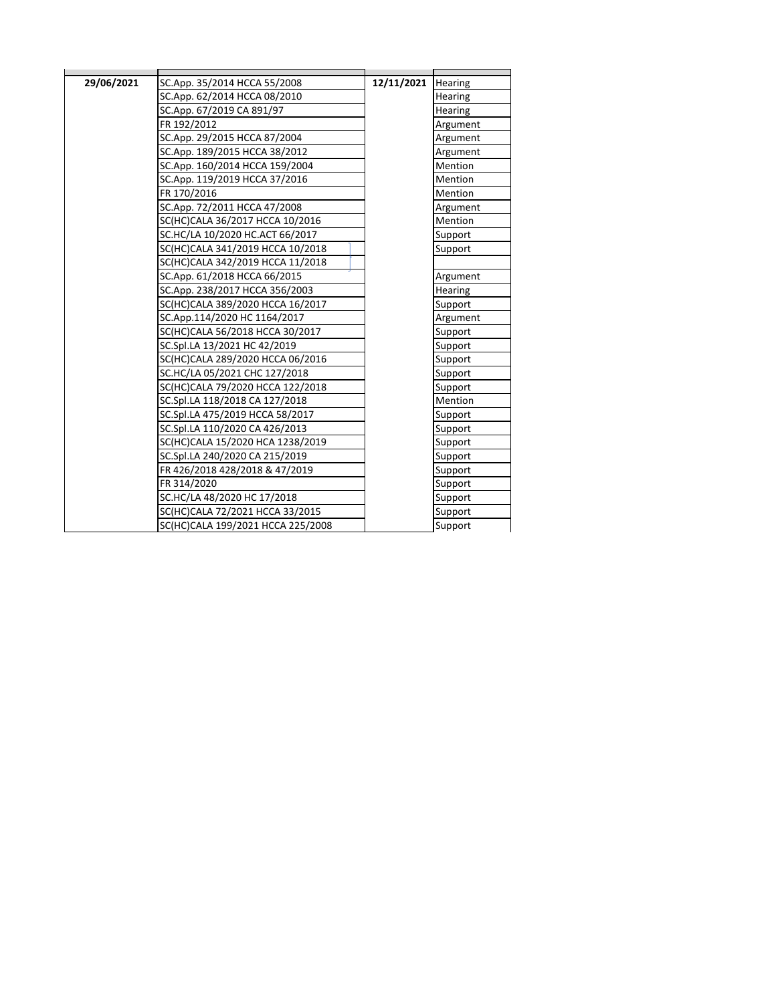| 29/06/2021 | SC.App. 35/2014 HCCA 55/2008      | 12/11/2021 | Hearing        |
|------------|-----------------------------------|------------|----------------|
|            | SC.App. 62/2014 HCCA 08/2010      |            | Hearing        |
|            | SC.App. 67/2019 CA 891/97         |            | Hearing        |
|            | FR 192/2012                       |            | Argument       |
|            | SC.App. 29/2015 HCCA 87/2004      |            | Argument       |
|            | SC.App. 189/2015 HCCA 38/2012     |            | Argument       |
|            | SC.App. 160/2014 HCCA 159/2004    |            | Mention        |
|            | SC.App. 119/2019 HCCA 37/2016     |            | Mention        |
|            | FR 170/2016                       |            | <b>Mention</b> |
|            | SC.App. 72/2011 HCCA 47/2008      |            | Argument       |
|            | SC(HC)CALA 36/2017 HCCA 10/2016   |            | Mention        |
|            | SC.HC/LA 10/2020 HC.ACT 66/2017   |            | Support        |
|            | SC(HC)CALA 341/2019 HCCA 10/2018  |            | Support        |
|            | SC(HC)CALA 342/2019 HCCA 11/2018  |            |                |
|            | SC.App. 61/2018 HCCA 66/2015      |            | Argument       |
|            | SC.App. 238/2017 HCCA 356/2003    |            | Hearing        |
|            | SC(HC)CALA 389/2020 HCCA 16/2017  |            | Support        |
|            | SC.App.114/2020 HC 1164/2017      |            | Argument       |
|            | SC(HC)CALA 56/2018 HCCA 30/2017   |            | Support        |
|            | SC.Spl.LA 13/2021 HC 42/2019      |            | Support        |
|            | SC(HC)CALA 289/2020 HCCA 06/2016  |            | Support        |
|            | SC.HC/LA 05/2021 CHC 127/2018     |            | Support        |
|            | SC(HC)CALA 79/2020 HCCA 122/2018  |            | Support        |
|            | SC.Spl.LA 118/2018 CA 127/2018    |            | Mention        |
|            | SC.Spl.LA 475/2019 HCCA 58/2017   |            | Support        |
|            | SC.Spl.LA 110/2020 CA 426/2013    |            | Support        |
|            | SC(HC)CALA 15/2020 HCA 1238/2019  |            | Support        |
|            | SC.Spl.LA 240/2020 CA 215/2019    |            | Support        |
|            | FR 426/2018 428/2018 & 47/2019    |            | Support        |
|            | FR 314/2020                       |            | Support        |
|            | SC.HC/LA 48/2020 HC 17/2018       |            | Support        |
|            | SC(HC)CALA 72/2021 HCCA 33/2015   |            | Support        |
|            | SC(HC)CALA 199/2021 HCCA 225/2008 |            | Support        |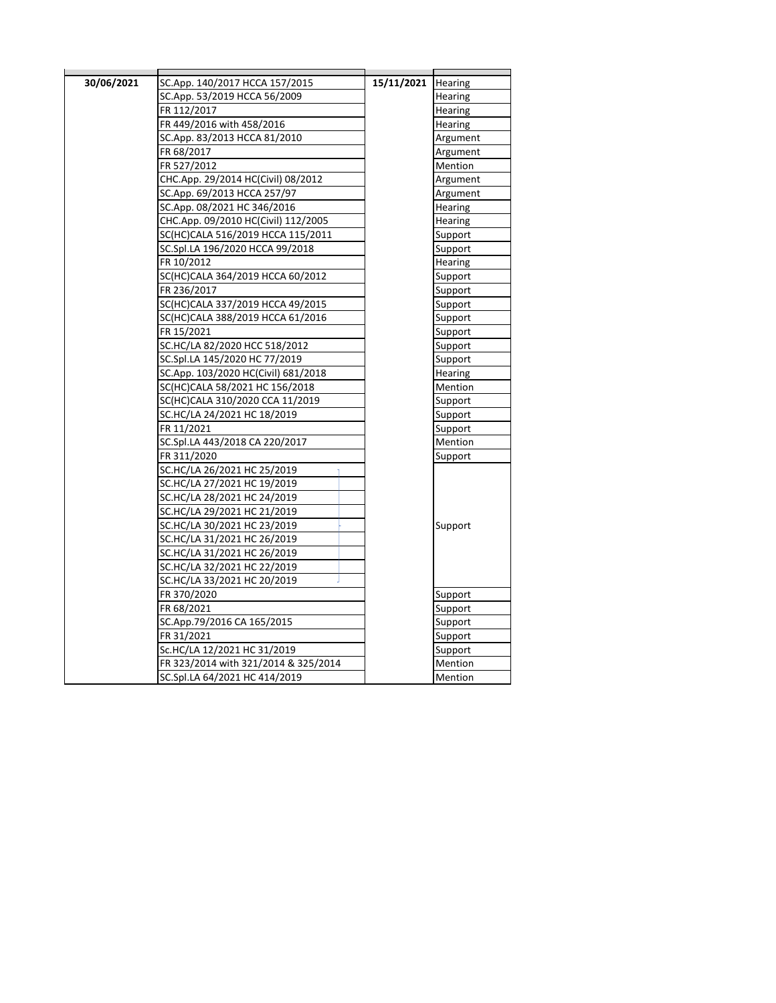| 30/06/2021 | SC.App. 140/2017 HCCA 157/2015       | 15/11/2021 Hearing |                |
|------------|--------------------------------------|--------------------|----------------|
|            | SC.App. 53/2019 HCCA 56/2009         |                    | Hearing        |
|            | FR 112/2017                          |                    | Hearing        |
|            | FR 449/2016 with 458/2016            |                    | <b>Hearing</b> |
|            | SC.App. 83/2013 HCCA 81/2010         |                    | Argument       |
|            | FR 68/2017                           |                    | Argument       |
|            | FR 527/2012                          |                    | Mention        |
|            | CHC.App. 29/2014 HC(Civil) 08/2012   |                    | Argument       |
|            | SC.App. 69/2013 HCCA 257/97          |                    | Argument       |
|            | SC.App. 08/2021 HC 346/2016          |                    | Hearing        |
|            | CHC.App. 09/2010 HC(Civil) 112/2005  |                    | Hearing        |
|            | SC(HC)CALA 516/2019 HCCA 115/2011    |                    | Support        |
|            | SC.Spl.LA 196/2020 HCCA 99/2018      |                    | Support        |
|            | FR 10/2012                           |                    | Hearing        |
|            | SC(HC)CALA 364/2019 HCCA 60/2012     |                    | Support        |
|            | FR 236/2017                          |                    | Support        |
|            | SC(HC)CALA 337/2019 HCCA 49/2015     |                    | Support        |
|            | SC(HC)CALA 388/2019 HCCA 61/2016     |                    | Support        |
|            | FR 15/2021                           |                    | Support        |
|            | SC.HC/LA 82/2020 HCC 518/2012        |                    | Support        |
|            | SC.Spl.LA 145/2020 HC 77/2019        |                    | Support        |
|            | SC.App. 103/2020 HC(Civil) 681/2018  |                    | Hearing        |
|            | SC(HC)CALA 58/2021 HC 156/2018       |                    | Mention        |
|            | SC(HC)CALA 310/2020 CCA 11/2019      |                    | Support        |
|            | SC.HC/LA 24/2021 HC 18/2019          |                    | Support        |
|            | FR 11/2021                           |                    | Support        |
|            | SC.Spl.LA 443/2018 CA 220/2017       |                    | Mention        |
|            | FR 311/2020                          |                    | Support        |
|            | SC.HC/LA 26/2021 HC 25/2019          |                    |                |
|            | SC.HC/LA 27/2021 HC 19/2019          |                    |                |
|            | SC.HC/LA 28/2021 HC 24/2019          |                    |                |
|            | SC.HC/LA 29/2021 HC 21/2019          |                    |                |
|            | SC.HC/LA 30/2021 HC 23/2019          |                    | Support        |
|            | SC.HC/LA 31/2021 HC 26/2019          |                    |                |
|            | SC.HC/LA 31/2021 HC 26/2019          |                    |                |
|            | SC.HC/LA 32/2021 HC 22/2019          |                    |                |
|            | SC.HC/LA 33/2021 HC 20/2019          |                    |                |
|            | FR 370/2020                          |                    | Support        |
|            | FR 68/2021                           |                    | Support        |
|            | SC.App.79/2016 CA 165/2015           |                    | Support        |
|            | FR 31/2021                           |                    | Support        |
|            | Sc.HC/LA 12/2021 HC 31/2019          |                    | Support        |
|            | FR 323/2014 with 321/2014 & 325/2014 |                    | Mention        |
|            | SC.Spl.LA 64/2021 HC 414/2019        |                    | Mention        |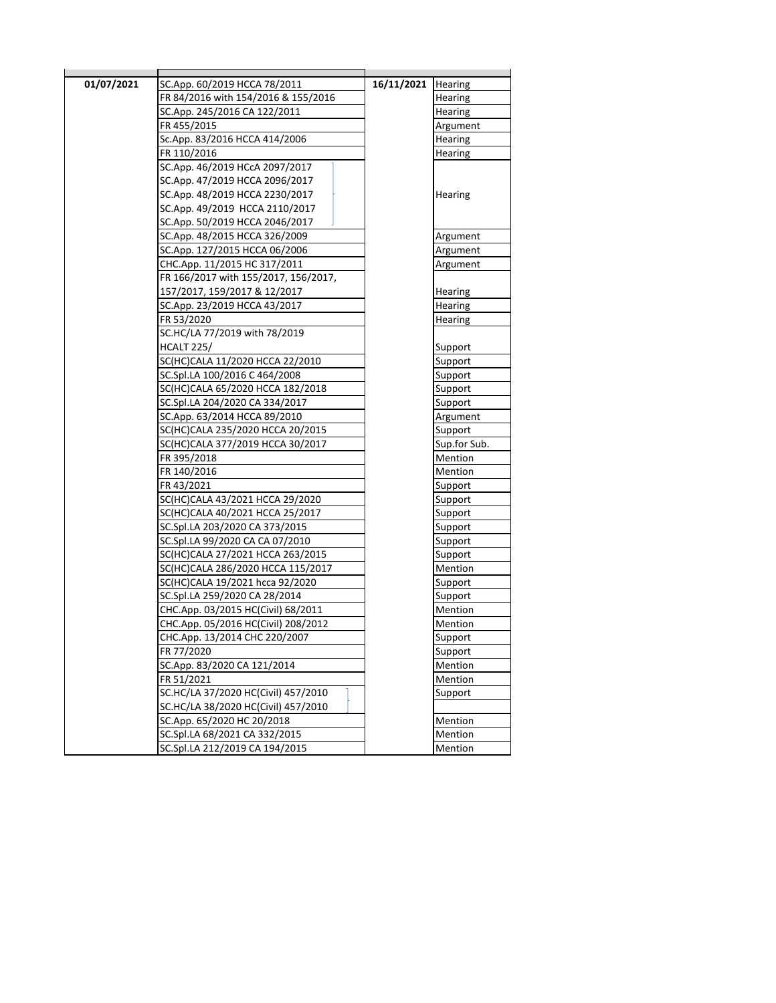| 01/07/2021 | SC.App. 60/2019 HCCA 78/2011         | 16/11/2021 | <b>Hearing</b> |
|------------|--------------------------------------|------------|----------------|
|            | FR 84/2016 with 154/2016 & 155/2016  |            | Hearing        |
|            | SC.App. 245/2016 CA 122/2011         |            | <b>Hearing</b> |
|            | FR 455/2015                          |            | Argument       |
|            | Sc.App. 83/2016 HCCA 414/2006        |            | Hearing        |
|            | FR 110/2016                          |            | <b>Hearing</b> |
|            | SC.App. 46/2019 HCcA 2097/2017       |            |                |
|            | SC.App. 47/2019 HCCA 2096/2017       |            |                |
|            | SC.App. 48/2019 HCCA 2230/2017       |            | Hearing        |
|            | SC.App. 49/2019 HCCA 2110/2017       |            |                |
|            | SC.App. 50/2019 HCCA 2046/2017       |            |                |
|            | SC.App. 48/2015 HCCA 326/2009        |            | Argument       |
|            | SC.App. 127/2015 HCCA 06/2006        |            | Argument       |
|            | CHC.App. 11/2015 HC 317/2011         |            | Argument       |
|            | FR 166/2017 with 155/2017, 156/2017, |            |                |
|            | 157/2017, 159/2017 & 12/2017         |            | Hearing        |
|            | SC.App. 23/2019 HCCA 43/2017         |            | <b>Hearing</b> |
|            | FR 53/2020                           |            | <b>Hearing</b> |
|            | SC.HC/LA 77/2019 with 78/2019        |            |                |
|            | <b>HCALT 225/</b>                    |            | Support        |
|            | SC(HC)CALA 11/2020 HCCA 22/2010      |            | Support        |
|            | SC.Spl.LA 100/2016 C 464/2008        |            | Support        |
|            | SC(HC)CALA 65/2020 HCCA 182/2018     |            | Support        |
|            | SC.Spl.LA 204/2020 CA 334/2017       |            | Support        |
|            | SC.App. 63/2014 HCCA 89/2010         |            | Argument       |
|            | SC(HC)CALA 235/2020 HCCA 20/2015     |            | Support        |
|            | SC(HC)CALA 377/2019 HCCA 30/2017     |            | Sup.for Sub.   |
|            | FR 395/2018                          |            | Mention        |
|            | FR 140/2016                          |            | Mention        |
|            | FR 43/2021                           |            | Support        |
|            | SC(HC)CALA 43/2021 HCCA 29/2020      |            | Support        |
|            | SC(HC)CALA 40/2021 HCCA 25/2017      |            | Support        |
|            | SC.Spl.LA 203/2020 CA 373/2015       |            | Support        |
|            | SC.Spl.LA 99/2020 CA CA 07/2010      |            | Support        |
|            | SC(HC)CALA 27/2021 HCCA 263/2015     |            | Support        |
|            | SC(HC)CALA 286/2020 HCCA 115/2017    |            | Mention        |
|            | SC(HC)CALA 19/2021 hcca 92/2020      |            | Support        |
|            | SC.Spl.LA 259/2020 CA 28/2014        |            | Support        |
|            | CHC.App. 03/2015 HC(Civil) 68/2011   |            | Mention        |
|            | CHC.App. 05/2016 HC(Civil) 208/2012  |            | Mention        |
|            | CHC.App. 13/2014 CHC 220/2007        |            | Support        |
|            | FR 77/2020                           |            | Support        |
|            | SC.App. 83/2020 CA 121/2014          |            | Mention        |
|            | FR 51/2021                           |            | Mention        |
|            | SC.HC/LA 37/2020 HC(Civil) 457/2010  |            | Support        |
|            | SC.HC/LA 38/2020 HC(Civil) 457/2010  |            |                |
|            | SC.App. 65/2020 HC 20/2018           |            | Mention        |
|            | SC.Spl.LA 68/2021 CA 332/2015        |            | Mention        |
|            | SC.Spl.LA 212/2019 CA 194/2015       |            | Mention        |